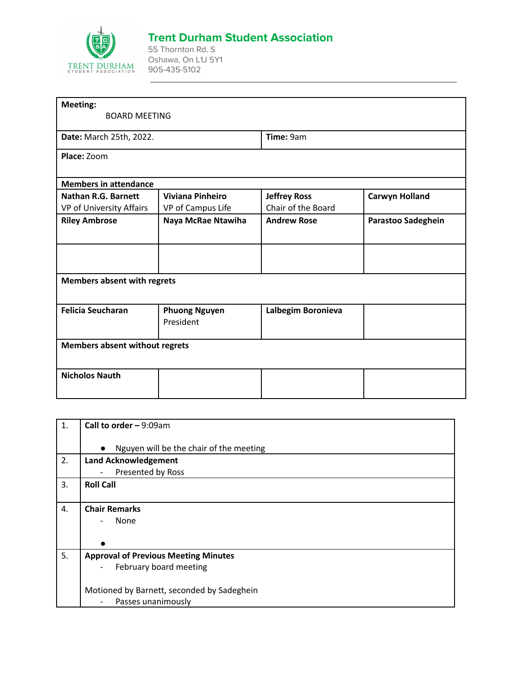

## **Trent Durham Student Association**

55 Thornton Rd. S Oshawa, On L1J 5Y1 905-435-5102

| <b>BOARD MEETING</b>                         |                                                                                                             |                       |  |
|----------------------------------------------|-------------------------------------------------------------------------------------------------------------|-----------------------|--|
| Date: March 25th, 2022.                      |                                                                                                             | Time: 9am             |  |
|                                              |                                                                                                             |                       |  |
|                                              |                                                                                                             |                       |  |
| <b>Viviana Pinheiro</b><br>VP of Campus Life | <b>Jeffrey Ross</b><br>Chair of the Board                                                                   | <b>Carwyn Holland</b> |  |
| Naya McRae Ntawiha                           | <b>Andrew Rose</b>                                                                                          | Parastoo Sadeghein    |  |
|                                              |                                                                                                             |                       |  |
|                                              |                                                                                                             |                       |  |
| <b>Phuong Nguyen</b><br>President            | Lalbegim Boronieva                                                                                          |                       |  |
|                                              |                                                                                                             |                       |  |
|                                              |                                                                                                             |                       |  |
| VP of University Affairs                     | <b>Members in attendance</b><br><b>Members absent with regrets</b><br><b>Members absent without regrets</b> |                       |  |

| 1. | Call to order $-9:09$ am                             |
|----|------------------------------------------------------|
|    | Nguyen will be the chair of the meeting<br>$\bullet$ |
| 2. | <b>Land Acknowledgement</b>                          |
|    | Presented by Ross<br>$\overline{\phantom{a}}$        |
| 3. | <b>Roll Call</b>                                     |
|    |                                                      |
| 4. | <b>Chair Remarks</b>                                 |
|    | None<br>$\qquad \qquad -$                            |
|    |                                                      |
|    |                                                      |
| 5. | <b>Approval of Previous Meeting Minutes</b>          |
|    | February board meeting<br>$\overline{\phantom{a}}$   |
|    |                                                      |
|    | Motioned by Barnett, seconded by Sadeghein           |
|    | Passes unanimously<br>$\overline{\phantom{a}}$       |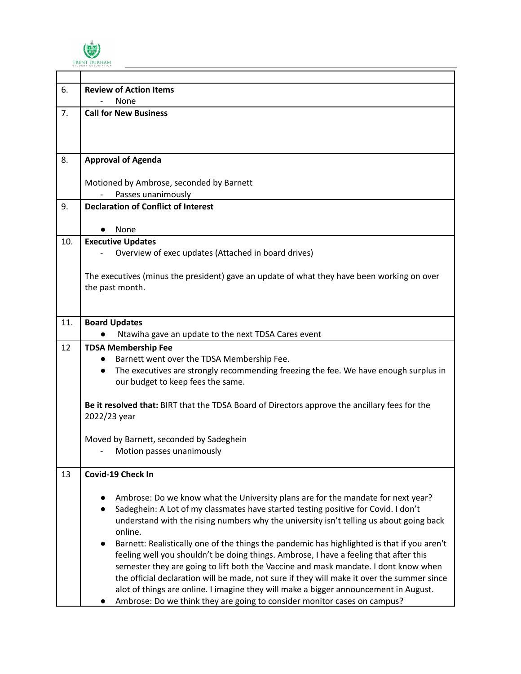

| 6.  | <b>Review of Action Items</b>                                                                                                                                                     |  |  |
|-----|-----------------------------------------------------------------------------------------------------------------------------------------------------------------------------------|--|--|
|     | None                                                                                                                                                                              |  |  |
| 7.  | <b>Call for New Business</b>                                                                                                                                                      |  |  |
|     |                                                                                                                                                                                   |  |  |
|     |                                                                                                                                                                                   |  |  |
| 8.  | <b>Approval of Agenda</b>                                                                                                                                                         |  |  |
|     | Motioned by Ambrose, seconded by Barnett                                                                                                                                          |  |  |
|     | Passes unanimously                                                                                                                                                                |  |  |
| 9.  | <b>Declaration of Conflict of Interest</b>                                                                                                                                        |  |  |
|     | None                                                                                                                                                                              |  |  |
| 10. | <b>Executive Updates</b>                                                                                                                                                          |  |  |
|     | Overview of exec updates (Attached in board drives)                                                                                                                               |  |  |
|     | The executives (minus the president) gave an update of what they have been working on over                                                                                        |  |  |
|     | the past month.                                                                                                                                                                   |  |  |
|     |                                                                                                                                                                                   |  |  |
| 11. | <b>Board Updates</b>                                                                                                                                                              |  |  |
|     | Ntawiha gave an update to the next TDSA Cares event                                                                                                                               |  |  |
| 12  | <b>TDSA Membership Fee</b>                                                                                                                                                        |  |  |
|     | Barnett went over the TDSA Membership Fee.                                                                                                                                        |  |  |
|     | The executives are strongly recommending freezing the fee. We have enough surplus in<br>$\bullet$                                                                                 |  |  |
|     | our budget to keep fees the same.                                                                                                                                                 |  |  |
|     | Be it resolved that: BIRT that the TDSA Board of Directors approve the ancillary fees for the                                                                                     |  |  |
|     | 2022/23 year                                                                                                                                                                      |  |  |
|     | Moved by Barnett, seconded by Sadeghein                                                                                                                                           |  |  |
|     | - Motion passes unanimously                                                                                                                                                       |  |  |
|     |                                                                                                                                                                                   |  |  |
| 13  | Covid-19 Check In                                                                                                                                                                 |  |  |
|     | Ambrose: Do we know what the University plans are for the mandate for next year?                                                                                                  |  |  |
|     | Sadeghein: A Lot of my classmates have started testing positive for Covid. I don't                                                                                                |  |  |
|     | understand with the rising numbers why the university isn't telling us about going back                                                                                           |  |  |
|     | online.                                                                                                                                                                           |  |  |
|     | Barnett: Realistically one of the things the pandemic has highlighted is that if you aren't<br>$\bullet$                                                                          |  |  |
|     | feeling well you shouldn't be doing things. Ambrose, I have a feeling that after this                                                                                             |  |  |
|     | semester they are going to lift both the Vaccine and mask mandate. I dont know when<br>the official declaration will be made, not sure if they will make it over the summer since |  |  |
|     | alot of things are online. I imagine they will make a bigger announcement in August.                                                                                              |  |  |
|     | Ambrose: Do we think they are going to consider monitor cases on campus?                                                                                                          |  |  |